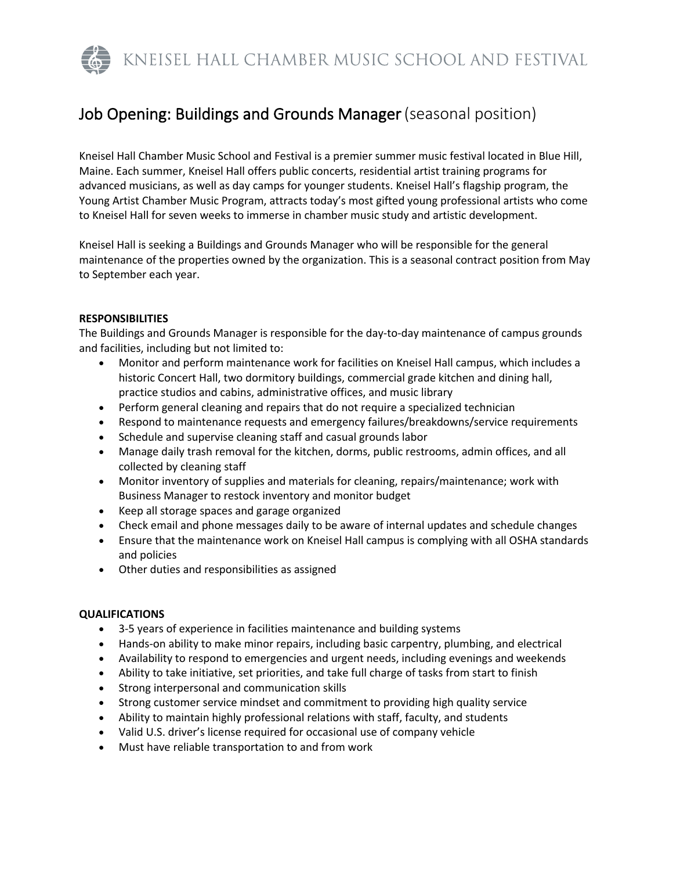KNEISEL HALL CHAMBER MUSIC SCHOOL AND FESTIVAL

# Job Opening: Buildings and Grounds Manager(seasonal position)

Kneisel Hall Chamber Music School and Festival is a premier summer music festival located in Blue Hill, Maine. Each summer, Kneisel Hall offers public concerts, residential artist training programs for advanced musicians, as well as day camps for younger students. Kneisel Hall's flagship program, the Young Artist Chamber Music Program, attracts today's most gifted young professional artists who come to Kneisel Hall for seven weeks to immerse in chamber music study and artistic development.

Kneisel Hall is seeking a Buildings and Grounds Manager who will be responsible for the general maintenance of the properties owned by the organization. This is a seasonal contract position from May to September each year.

## **RESPONSIBILITIES**

The Buildings and Grounds Manager is responsible for the day-to-day maintenance of campus grounds and facilities, including but not limited to:

- Monitor and perform maintenance work for facilities on Kneisel Hall campus, which includes a historic Concert Hall, two dormitory buildings, commercial grade kitchen and dining hall, practice studios and cabins, administrative offices, and music library
- Perform general cleaning and repairs that do not require a specialized technician
- Respond to maintenance requests and emergency failures/breakdowns/service requirements
- Schedule and supervise cleaning staff and casual grounds labor
- Manage daily trash removal for the kitchen, dorms, public restrooms, admin offices, and all collected by cleaning staff
- Monitor inventory of supplies and materials for cleaning, repairs/maintenance; work with Business Manager to restock inventory and monitor budget
- Keep all storage spaces and garage organized
- Check email and phone messages daily to be aware of internal updates and schedule changes
- Ensure that the maintenance work on Kneisel Hall campus is complying with all OSHA standards and policies
- Other duties and responsibilities as assigned

# **QUALIFICATIONS**

- 3-5 years of experience in facilities maintenance and building systems
- Hands-on ability to make minor repairs, including basic carpentry, plumbing, and electrical
- Availability to respond to emergencies and urgent needs, including evenings and weekends
- Ability to take initiative, set priorities, and take full charge of tasks from start to finish
- Strong interpersonal and communication skills
- Strong customer service mindset and commitment to providing high quality service
- Ability to maintain highly professional relations with staff, faculty, and students
- Valid U.S. driver's license required for occasional use of company vehicle
- Must have reliable transportation to and from work